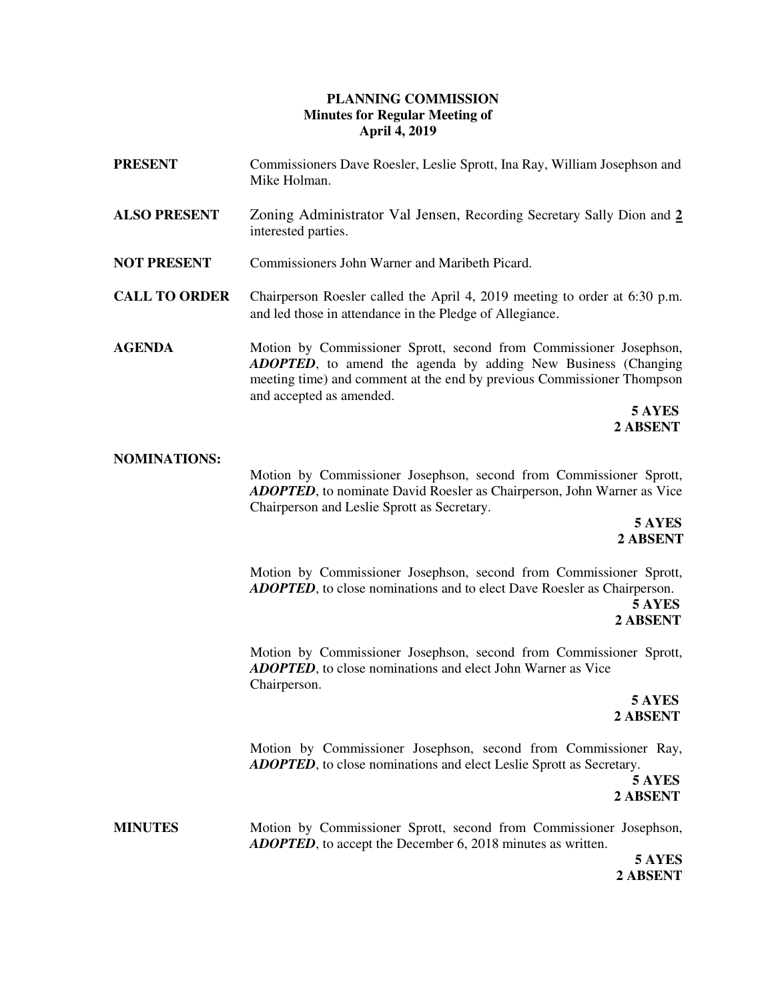## **PLANNING COMMISSION Minutes for Regular Meeting of April 4, 2019**

| PRESENT              | Commissioners Dave Roesler, Leslie Sprott, Ina Ray, William Josephson and<br>Mike Holman.                                                                                                                                                                               |
|----------------------|-------------------------------------------------------------------------------------------------------------------------------------------------------------------------------------------------------------------------------------------------------------------------|
| <b>ALSO PRESENT</b>  | Zoning Administrator Val Jensen, Recording Secretary Sally Dion and 2<br>interested parties.                                                                                                                                                                            |
| NOT PRESENT          | Commissioners John Warner and Maribeth Picard.                                                                                                                                                                                                                          |
| <b>CALL TO ORDER</b> | Chairperson Roesler called the April 4, 2019 meeting to order at 6:30 p.m.<br>and led those in attendance in the Pledge of Allegiance.                                                                                                                                  |
| <b>AGENDA</b>        | Motion by Commissioner Sprott, second from Commissioner Josephson,<br><b>ADOPTED</b> , to amend the agenda by adding New Business (Changing<br>meeting time) and comment at the end by previous Commissioner Thompson<br>and accepted as amended.<br>5 AYES<br>2 ABSENT |
| <b>NOMINATIONS:</b>  | Motion by Commissioner Josephson, second from Commissioner Sprott,<br><b>ADOPTED</b> , to nominate David Roesler as Chairperson, John Warner as Vice<br>Chairperson and Leslie Sprott as Secretary.<br>5 AYES                                                           |

**2 ABSENT**

Motion by Commissioner Josephson, second from Commissioner Sprott, *ADOPTED*, to close nominations and to elect Dave Roesler as Chairperson.

 **5 AYES 2 ABSENT**

Motion by Commissioner Josephson, second from Commissioner Sprott, *ADOPTED*, to close nominations and elect John Warner as Vice Chairperson.

 **5 AYES 2 ABSENT**

> Motion by Commissioner Josephson, second from Commissioner Ray, *ADOPTED*, to close nominations and elect Leslie Sprott as Secretary.

**5 AYES 2 ABSENT** 

**MINUTES** Motion by Commissioner Sprott, second from Commissioner Josephson, *ADOPTED*, to accept the December 6, 2018 minutes as written.

> **5 AYES 2 ABSENT**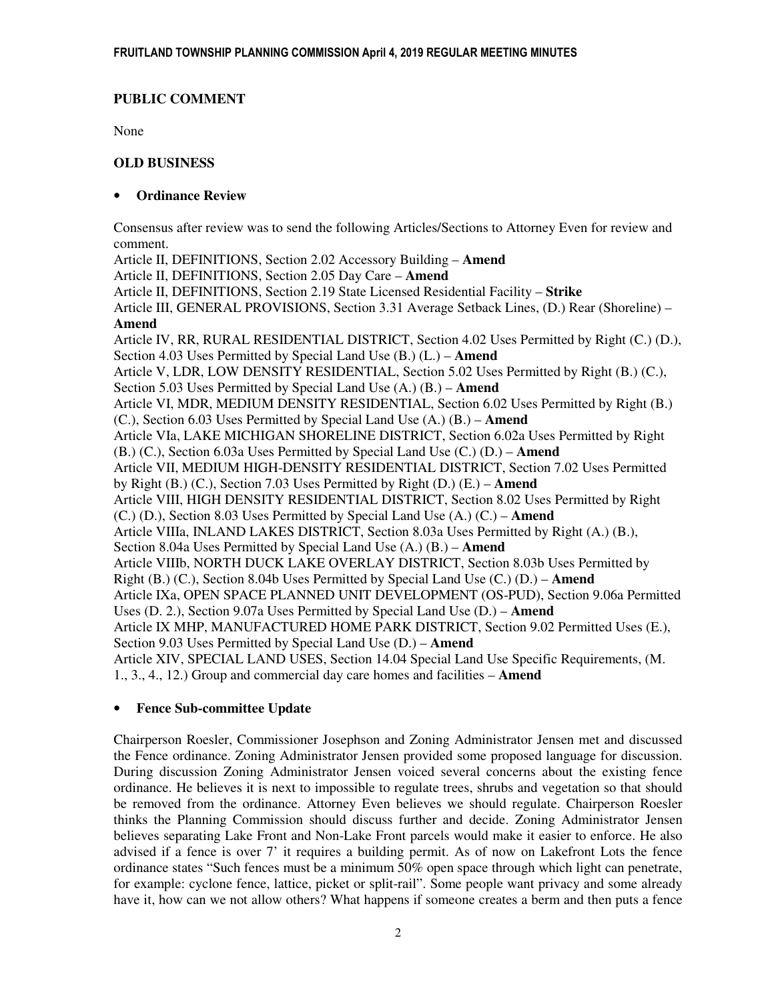# **PUBLIC COMMENT**

None

# **OLD BUSINESS**

# • **Ordinance Review**

 Consensus after review was to send the following Articles/Sections to Attorney Even for review and comment.

Article II, DEFINITIONS, Section 2.02 Accessory Building – **Amend** Article II, DEFINITIONS, Section 2.05 Day Care – **Amend** Article II, DEFINITIONS, Section 2.19 State Licensed Residential Facility – **Strike** Article III, GENERAL PROVISIONS, Section 3.31 Average Setback Lines, (D.) Rear (Shoreline) – **Amend**  Article IV, RR, RURAL RESIDENTIAL DISTRICT, Section 4.02 Uses Permitted by Right (C.) (D.), Section 4.03 Uses Permitted by Special Land Use (B.) (L.) – **Amend** Article V, LDR, LOW DENSITY RESIDENTIAL, Section 5.02 Uses Permitted by Right (B.) (C.), Section 5.03 Uses Permitted by Special Land Use (A.) (B.) – **Amend** Article VI, MDR, MEDIUM DENSITY RESIDENTIAL, Section 6.02 Uses Permitted by Right (B.) (C.), Section 6.03 Uses Permitted by Special Land Use (A.) (B.) – **Amend** Article VIa, LAKE MICHIGAN SHORELINE DISTRICT, Section 6.02a Uses Permitted by Right (B.) (C.), Section 6.03a Uses Permitted by Special Land Use (C.) (D.) – **Amend** Article VII, MEDIUM HIGH-DENSITY RESIDENTIAL DISTRICT, Section 7.02 Uses Permitted by Right (B.) (C.), Section 7.03 Uses Permitted by Right (D.) (E.) – **Amend** Article VIII, HIGH DENSITY RESIDENTIAL DISTRICT, Section 8.02 Uses Permitted by Right (C.) (D.), Section 8.03 Uses Permitted by Special Land Use (A.) (C.) – **Amend** Article VIIIa, INLAND LAKES DISTRICT, Section 8.03a Uses Permitted by Right (A.) (B.), Section 8.04a Uses Permitted by Special Land Use (A.) (B.) – **Amend** Article VIIIb, NORTH DUCK LAKE OVERLAY DISTRICT, Section 8.03b Uses Permitted by Right (B.) (C.), Section 8.04b Uses Permitted by Special Land Use (C.) (D.) – **Amend** Article IXa, OPEN SPACE PLANNED UNIT DEVELOPMENT (OS-PUD), Section 9.06a Permitted Uses (D. 2.), Section 9.07a Uses Permitted by Special Land Use (D.) – **Amend** Article IX MHP, MANUFACTURED HOME PARK DISTRICT, Section 9.02 Permitted Uses (E.), Section 9.03 Uses Permitted by Special Land Use (D.) – **Amend** Article XIV, SPECIAL LAND USES, Section 14.04 Special Land Use Specific Requirements, (M. 1., 3., 4., 12.) Group and commercial day care homes and facilities – **Amend**

# • **Fence Sub-committee Update**

 Chairperson Roesler, Commissioner Josephson and Zoning Administrator Jensen met and discussed the Fence ordinance. Zoning Administrator Jensen provided some proposed language for discussion. During discussion Zoning Administrator Jensen voiced several concerns about the existing fence ordinance. He believes it is next to impossible to regulate trees, shrubs and vegetation so that should be removed from the ordinance. Attorney Even believes we should regulate. Chairperson Roesler thinks the Planning Commission should discuss further and decide. Zoning Administrator Jensen believes separating Lake Front and Non-Lake Front parcels would make it easier to enforce. He also advised if a fence is over 7' it requires a building permit. As of now on Lakefront Lots the fence ordinance states "Such fences must be a minimum 50% open space through which light can penetrate, for example: cyclone fence, lattice, picket or split-rail". Some people want privacy and some already have it, how can we not allow others? What happens if someone creates a berm and then puts a fence